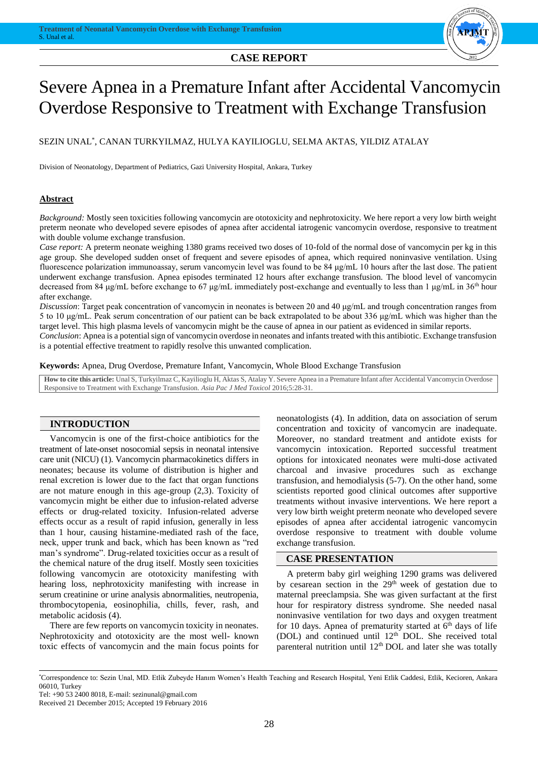#### **CASE REPORT**



# Severe Apnea in a Premature Infant after Accidental Vancomycin Overdose Responsive to Treatment with Exchange Transfusion

### SEZIN UNAL\* , CANAN TURKYILMAZ, HULYA KAYILIOGLU, SELMA AKTAS, YILDIZ ATALAY

Division of Neonatology, Department of Pediatrics, Gazi University Hospital, Ankara, Turkey

#### **Abstract**

*Background:* Mostly seen toxicities following vancomycin are ototoxicity and nephrotoxicity. We here report a very low birth weight preterm neonate who developed severe episodes of apnea after accidental iatrogenic vancomycin overdose, responsive to treatment with double volume exchange transfusion.

*Case report:* A preterm neonate weighing 1380 grams received two doses of 10-fold of the normal dose of vancomycin per kg in this age group. She developed sudden onset of frequent and severe episodes of apnea, which required noninvasive ventilation. Using fluorescence polarization immunoassay, serum vancomycin level was found to be 84 μg/mL 10 hours after the last dose. The patient underwent exchange transfusion. Apnea episodes terminated 12 hours after exchange transfusion. The blood level of vancomycin decreased from 84 μg/mL before exchange to 67 μg/mL immediately post-exchange and eventually to less than 1 μg/mL in 36th hour after exchange.

*Discussion*: Target peak concentration of vancomycin in neonates is between 20 and 40 μg/mL and trough concentration ranges from 5 to 10 μg/mL. Peak serum concentration of our patient can be back extrapolated to be about 336 μg/mL which was higher than the target level. This high plasma levels of vancomycin might be the cause of apnea in our patient as evidenced in similar reports.

*Conclusion*: Apnea is a potential sign of vancomycin overdose in neonates and infants treated with this antibiotic. Exchange transfusion is a potential effective treatment to rapidly resolve this unwanted complication.

**Keywords:** Apnea, Drug Overdose, Premature Infant, Vancomycin, Whole Blood Exchange Transfusion

**How to cite this article:** Unal S, Turkyilmaz C, Kayilioglu H, Aktas S, Atalay Y. Severe Apnea in a Premature Infant after Accidental Vancomycin Overdose Responsive to Treatment with Exchange Transfusion. *Asia Pac J Med Toxicol* 2016;5:28-31.

#### **INTRODUCTION**

Vancomycin is one of the first-choice antibiotics for the treatment of late-onset nosocomial sepsis in neonatal intensive care unit (NICU) (1). Vancomycin pharmacokinetics differs in neonates; because its volume of distribution is higher and renal excretion is lower due to the fact that organ functions are not mature enough in this age-group (2,3). Toxicity of vancomycin might be either due to infusion-related adverse effects or drug-related toxicity. Infusion-related adverse effects occur as a result of rapid infusion, generally in less than 1 hour, causing histamine-mediated rash of the face, neck, upper trunk and back, which has been known as "red man's syndrome". Drug-related toxicities occur as a result of the chemical nature of the drug itself. Mostly seen toxicities following vancomycin are ototoxicity manifesting with hearing loss, nephrotoxicity manifesting with increase in serum creatinine or urine analysis abnormalities, neutropenia, thrombocytopenia, eosinophilia, chills, fever, rash, and metabolic acidosis (4).

There are few reports on vancomycin toxicity in neonates. Nephrotoxicity and ototoxicity are the most well- known toxic effects of vancomycin and the main focus points for neonatologists (4). In addition, data on association of serum concentration and toxicity of vancomycin are inadequate. Moreover, no standard treatment and antidote exists for vancomycin intoxication. Reported successful treatment options for intoxicated neonates were multi-dose activated charcoal and invasive procedures such as exchange transfusion, and hemodialysis (5-7). On the other hand, some scientists reported good clinical outcomes after supportive treatments without invasive interventions. We here report a very low birth weight preterm neonate who developed severe episodes of apnea after accidental iatrogenic vancomycin overdose responsive to treatment with double volume exchange transfusion.

#### **CASE PRESENTATION**

A preterm baby girl weighing 1290 grams was delivered by cesarean section in the  $29<sup>th</sup>$  week of gestation due to maternal preeclampsia. She was given surfactant at the first hour for respiratory distress syndrome. She needed nasal noninvasive ventilation for two days and oxygen treatment for 10 days. Apnea of prematurity started at  $6<sup>th</sup>$  days of life (DOL) and continued until 12<sup>th</sup> DOL. She received total parenteral nutrition until  $12<sup>th</sup>$  DOL and later she was totally

<sup>\*</sup>Correspondence to: Sezin Unal, MD. Etlik Zubeyde Hanım Women's Health Teaching and Research Hospital, Yeni Etlik Caddesi, Etlik, Kecioren, Ankara 06010, Turkey

Tel: +90 53 2400 8018, E-mail: sezinunal@gmail.com

Received 21 December 2015; Accepted 19 February 2016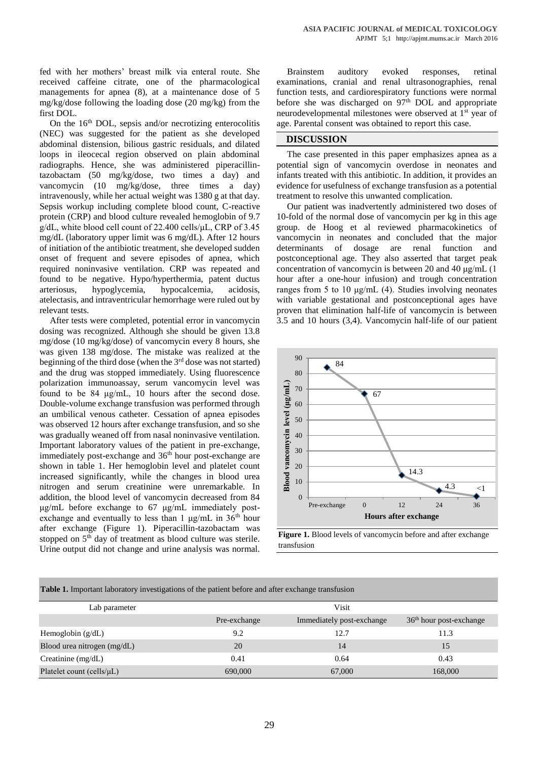fed with her mothers' breast milk via enteral route. She received caffeine citrate, one of the pharmacological managements for apnea (8), at a maintenance dose of 5 mg/kg/dose following the loading dose (20 mg/kg) from the first DOL.

On the  $16<sup>th</sup>$  DOL, sepsis and/or necrotizing enterocolitis (NEC) was suggested for the patient as she developed abdominal distension, bilious gastric residuals, and dilated loops in ileocecal region observed on plain abdominal radiographs. Hence, she was administered piperacillintazobactam (50 mg/kg/dose, two times a day) and vancomycin (10 mg/kg/dose, three times a day) intravenously, while her actual weight was 1380 g at that day. Sepsis workup including complete blood count, C-reactive protein (CRP) and blood culture revealed hemoglobin of 9.7 g/dL, white blood cell count of 22.400 cells/μL, CRP of 3.45 mg/dL (laboratory upper limit was 6 mg/dL). After 12 hours of initiation of the antibiotic treatment, she developed sudden onset of frequent and severe episodes of apnea, which required noninvasive ventilation. CRP was repeated and found to be negative. Hypo/hyperthermia, patent ductus arteriosus, hypoglycemia, hypocalcemia, acidosis, atelectasis, and intraventricular hemorrhage were ruled out by relevant tests.

After tests were completed, potential error in vancomycin dosing was recognized. Although she should be given 13.8 mg/dose (10 mg/kg/dose) of vancomycin every 8 hours, she was given 138 mg/dose. The mistake was realized at the beginning of the third dose (when the  $3<sup>rd</sup>$  dose was not started) and the drug was stopped immediately. Using fluorescence polarization immunoassay, serum vancomycin level was found to be 84 μg/mL, 10 hours after the second dose. Double-volume exchange transfusion was performed through an umbilical venous catheter. Cessation of apnea episodes was observed 12 hours after exchange transfusion, and so she was gradually weaned off from nasal noninvasive ventilation. Important laboratory values of the patient in pre-exchange, immediately post-exchange and 36<sup>th</sup> hour post-exchange are shown in table 1. Her hemoglobin level and platelet count increased significantly, while the changes in blood urea nitrogen and serum creatinine were unremarkable. In addition, the blood level of vancomycin decreased from 84 μg/mL before exchange to 67 μg/mL immediately postexchange and eventually to less than 1  $\mu$ g/mL in 36<sup>th</sup> hour after exchange (Figure 1). Piperacillin-tazobactam was stopped on 5<sup>th</sup> day of treatment as blood culture was sterile. Urine output did not change and urine analysis was normal.

Brainstem auditory evoked responses, retinal examinations, cranial and renal ultrasonographies, renal function tests, and cardiorespiratory functions were normal before she was discharged on  $97<sup>th</sup>$  DOL and appropriate neurodevelopmental milestones were observed at 1st year of age. Parental consent was obtained to report this case.

#### **DISCUSSION**

The case presented in this paper emphasizes apnea as a potential sign of vancomycin overdose in neonates and infants treated with this antibiotic. In addition, it provides an evidence for usefulness of exchange transfusion as a potential treatment to resolve this unwanted complication.

Our patient was inadvertently administered two doses of 10-fold of the normal dose of vancomycin per kg in this age group. de Hoog et al reviewed pharmacokinetics of vancomycin in neonates and concluded that the major determinants of dosage are renal function and postconceptional age. They also asserted that target peak concentration of vancomycin is between 20 and 40 μg/mL (1 hour after a one-hour infusion) and trough concentration ranges from 5 to 10 μg/mL (4). Studies involving neonates with variable gestational and postconceptional ages have proven that elimination half-life of vancomycin is between 3.5 and 10 hours (3,4). Vancomycin half-life of our patient



**Figure 1.** Blood levels of vancomycin before and after exchange transfusion

| Table 1. Important laboratory investigations of the patient before and after exchange transfusion |
|---------------------------------------------------------------------------------------------------|
|---------------------------------------------------------------------------------------------------|

| Lab parameter                   |              | <b>Visit</b>              |                           |
|---------------------------------|--------------|---------------------------|---------------------------|
|                                 | Pre-exchange | Immediately post-exchange | $36th$ hour post-exchange |
| Hemoglobin $(g/dL)$             | 9.2          | 12.7                      | 11.3                      |
| Blood urea nitrogen (mg/dL)     | 20           | 14                        | 15                        |
| Creatinine $(mg/dL)$            | 0.41         | 0.64                      | 0.43                      |
| Platelet count (cells/ $\mu$ L) | 690,000      | 67,000                    | 168,000                   |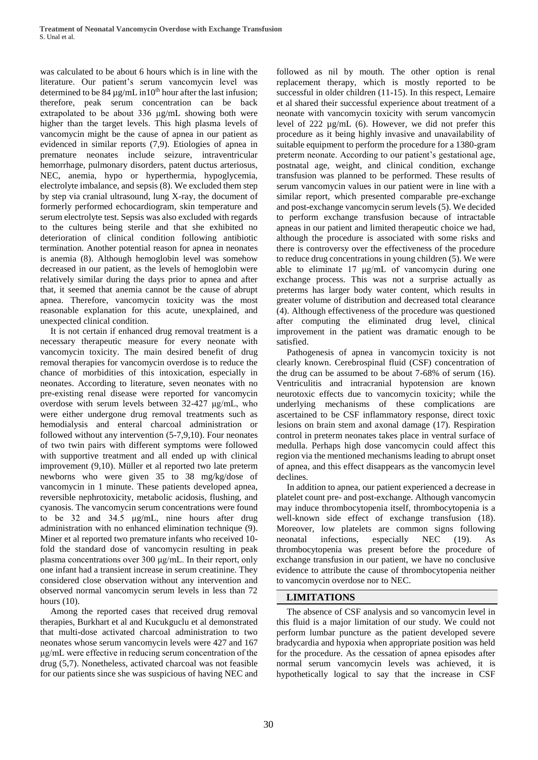was calculated to be about 6 hours which is in line with the literature. Our patient's serum vancomycin level was determined to be 84  $\mu$ g/mL in10<sup>th</sup> hour after the last infusion; therefore, peak serum concentration can be back extrapolated to be about 336 μg/mL showing both were higher than the target levels. This high plasma levels of vancomycin might be the cause of apnea in our patient as evidenced in similar reports (7,9). Etiologies of apnea in premature neonates include seizure, intraventricular hemorrhage, pulmonary disorders, patent ductus arteriosus, NEC, anemia, hypo or hyperthermia, hypoglycemia, electrolyte imbalance, and sepsis (8). We excluded them step by step via cranial ultrasound, lung X-ray, the document of formerly performed echocardiogram, skin temperature and serum electrolyte test. Sepsis was also excluded with regards to the cultures being sterile and that she exhibited no deterioration of clinical condition following antibiotic termination. Another potential reason for apnea in neonates is anemia (8). Although hemoglobin level was somehow decreased in our patient, as the levels of hemoglobin were relatively similar during the days prior to apnea and after that, it seemed that anemia cannot be the cause of abrupt apnea. Therefore, vancomycin toxicity was the most reasonable explanation for this acute, unexplained, and unexpected clinical condition.

It is not certain if enhanced drug removal treatment is a necessary therapeutic measure for every neonate with vancomycin toxicity. The main desired benefit of drug removal therapies for vancomycin overdose is to reduce the chance of morbidities of this intoxication, especially in neonates. According to literature, seven neonates with no pre-existing renal disease were reported for vancomycin overdose with serum levels between 32-427 μg/mL, who were either undergone drug removal treatments such as hemodialysis and enteral charcoal administration or followed without any intervention (5-7,9,10). Four neonates of two twin pairs with different symptoms were followed with supportive treatment and all ended up with clinical improvement (9,10). Müller et al reported two late preterm newborns who were given 35 to 38 mg/kg/dose of vancomycin in 1 minute. These patients developed apnea, reversible nephrotoxicity, metabolic acidosis, flushing, and cyanosis. The vancomycin serum concentrations were found to be 32 and 34.5 μg/mL, nine hours after drug administration with no enhanced elimination technique (9). Miner et al reported two premature infants who received 10 fold the standard dose of vancomycin resulting in peak plasma concentrations over 300 μg/mL. In their report, only one infant had a transient increase in serum creatinine. They considered close observation without any intervention and observed normal vancomycin serum levels in less than 72 hours (10).

Among the reported cases that received drug removal therapies, Burkhart et al and Kucukguclu et al demonstrated that multi-dose activated charcoal administration to two neonates whose serum vancomycin levels were 427 and 167 μg/mL were effective in reducing serum concentration of the drug (5,7). Nonetheless, activated charcoal was not feasible for our patients since she was suspicious of having NEC and

followed as nil by mouth. The other option is renal replacement therapy, which is mostly reported to be successful in older children (11-15). In this respect, Lemaire et al shared their successful experience about treatment of a neonate with vancomycin toxicity with serum vancomycin level of 222 µg/mL (6). However, we did not prefer this procedure as it being highly invasive and unavailability of suitable equipment to perform the procedure for a 1380-gram preterm neonate. According to our patient's gestational age, postnatal age, weight, and clinical condition, exchange transfusion was planned to be performed. These results of serum vancomycin values in our patient were in line with a similar report, which presented comparable pre-exchange and post-exchange vancomycin serum levels (5). We decided to perform exchange transfusion because of intractable apneas in our patient and limited therapeutic choice we had, although the procedure is associated with some risks and there is controversy over the effectiveness of the procedure to reduce drug concentrations in young children (5). We were able to eliminate 17 μg/mL of vancomycin during one exchange process. This was not a surprise actually as preterms has larger body water content, which results in greater volume of distribution and decreased total clearance (4). Although effectiveness of the procedure was questioned after computing the eliminated drug level, clinical improvement in the patient was dramatic enough to be satisfied.

Pathogenesis of apnea in vancomycin toxicity is not clearly known. Cerebrospinal fluid (CSF) concentration of the drug can be assumed to be about 7-68% of serum (16). Ventriculitis and intracranial hypotension are known neurotoxic effects due to vancomycin toxicity; while the underlying mechanisms of these complications are ascertained to be CSF inflammatory response, direct toxic lesions on brain stem and axonal damage (17). Respiration control in preterm neonates takes place in ventral surface of medulla. Perhaps high dose vancomycin could affect this region via the mentioned mechanisms leading to abrupt onset of apnea, and this effect disappears as the vancomycin level declines.

In addition to apnea, our patient experienced a decrease in platelet count pre- and post-exchange. Although vancomycin may induce thrombocytopenia itself, thrombocytopenia is a well-known side effect of exchange transfusion (18). Moreover, low platelets are common signs following neonatal infections, especially NEC (19). As thrombocytopenia was present before the procedure of exchange transfusion in our patient, we have no conclusive evidence to attribute the cause of thrombocytopenia neither to vancomycin overdose nor to NEC.

#### **LIMITATIONS**

The absence of CSF analysis and so vancomycin level in this fluid is a major limitation of our study. We could not perform lumbar puncture as the patient developed severe bradycardia and hypoxia when appropriate position was held for the procedure. As the cessation of apnea episodes after normal serum vancomycin levels was achieved, it is hypothetically logical to say that the increase in CSF